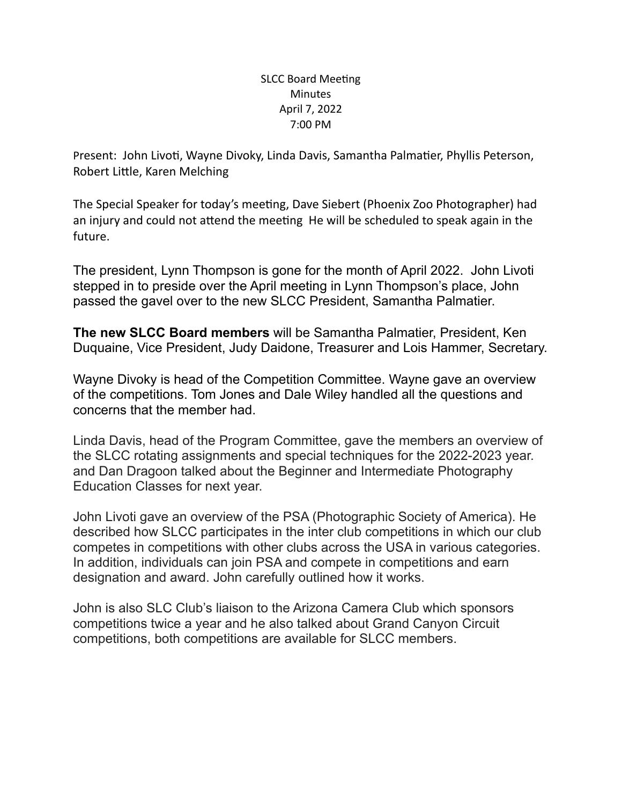## SLCC Board Meeting **Minutes** April 7, 2022 7:00 PM

Present: John Livoti, Wayne Divoky, Linda Davis, Samantha Palmatier, Phyllis Peterson, Robert Little, Karen Melching

The Special Speaker for today's meeting, Dave Siebert (Phoenix Zoo Photographer) had an injury and could not attend the meeting He will be scheduled to speak again in the future.

The president, Lynn Thompson is gone for the month of April 2022. John Livoti stepped in to preside over the April meeting in Lynn Thompson's place, John passed the gavel over to the new SLCC President, Samantha Palmatier.

**The new SLCC Board members** will be Samantha Palmatier, President, Ken Duquaine, Vice President, Judy Daidone, Treasurer and Lois Hammer, Secretary.

Wayne Divoky is head of the Competition Committee. Wayne gave an overview of the competitions. Tom Jones and Dale Wiley handled all the questions and concerns that the member had.

Linda Davis, head of the Program Committee, gave the members an overview of the SLCC rotating assignments and special techniques for the 2022-2023 year. and Dan Dragoon talked about the Beginner and Intermediate Photography Education Classes for next year.

John Livoti gave an overview of the PSA (Photographic Society of America). He described how SLCC participates in the inter club competitions in which our club competes in competitions with other clubs across the USA in various categories. In addition, individuals can join PSA and compete in competitions and earn designation and award. John carefully outlined how it works.

John is also SLC Club's liaison to the Arizona Camera Club which sponsors competitions twice a year and he also talked about Grand Canyon Circuit competitions, both competitions are available for SLCC members.